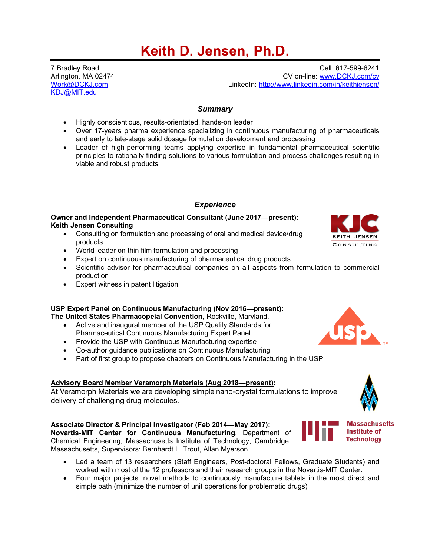# **Keith D. Jensen, Ph.D.**

KDJ@MIT.edu

7 Bradley Road Cell: 617-599-6241 Arlington, MA 02474 CV on-line: www.DCKJ.com/cv LinkedIn: http://www.linkedin.com/in/keithjensen/

# *Summary*

- Highly conscientious, results-orientated, hands-on leader
- Over 17-years pharma experience specializing in continuous manufacturing of pharmaceuticals and early to late-stage solid dosage formulation development and processing
- Leader of high-performing teams applying expertise in fundamental pharmaceutical scientific principles to rationally finding solutions to various formulation and process challenges resulting in viable and robust products

# *Experience*

# **Owner and Independent Pharmaceutical Consultant (June 2017—present):**

## **Keith Jensen Consulting**

- Consulting on formulation and processing of oral and medical device/drug products
- World leader on thin film formulation and processing
- Expert on continuous manufacturing of pharmaceutical drug products
- Scientific advisor for pharmaceutical companies on all aspects from formulation to commercial production
- Expert witness in patent litigation

# **USP Expert Panel on Continuous Manufacturing (Nov 2016—present):**

**The United States Pharmacopeial Convention**, Rockville, Maryland.

- Active and inaugural member of the USP Quality Standards for Pharmaceutical Continuous Manufacturing Expert Panel
- Provide the USP with Continuous Manufacturing expertise
- Co-author guidance publications on Continuous Manufacturing
- Part of first group to propose chapters on Continuous Manufacturing in the USP

# **Advisory Board Member Veramorph Materials (Aug 2018—present):**

At Veramorph Materials we are developing simple nano-crystal formulations to improve delivery of challenging drug molecules.

# **Associate Director & Principal Investigator (Feb 2014—May 2017):**

**Novartis-MIT Center for Continuous Manufacturing**, Department of Chemical Engineering, Massachusetts Institute of Technology, Cambridge, Massachusetts, Supervisors: Bernhardt L. Trout, Allan Myerson.

- Led a team of 13 researchers (Staff Engineers, Post-doctoral Fellows, Graduate Students) and worked with most of the 12 professors and their research groups in the Novartis-MIT Center.
- Four major projects: novel methods to continuously manufacture tablets in the most direct and simple path (minimize the number of unit operations for problematic drugs)







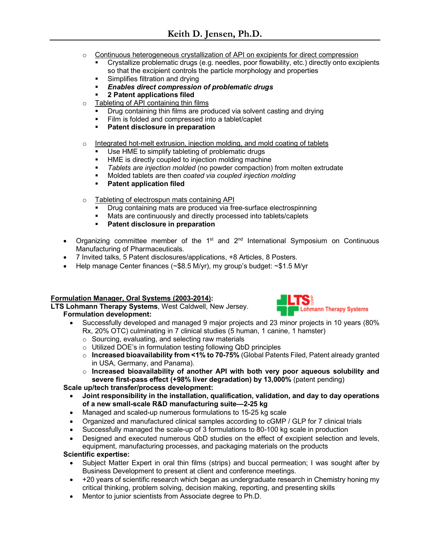- o Continuous heterogeneous crystallization of API on excipients for direct compression
	- § Crystallize problematic drugs (e.g. needles, poor flowability, etc.) directly onto excipients so that the excipient controls the particle morphology and properties
	- § Simplifies filtration and drying
	- § *Enables direct compression of problematic drugs*
	- § **2 Patent applications filed**
- o Tableting of API containing thin films
	- § Drug containing thin films are produced via solvent casting and drying
	- Film is folded and compressed into a tablet/caplet
	- § **Patent disclosure in preparation**
- $\circ$  Integrated hot-melt extrusion, injection molding, and mold coating of tablets
	- Use HME to simplify tableting of problematic drugs
	- § HME is directly coupled to injection molding machine
	- § *Tablets are injection molded* (no powder compaction) from molten extrudate
	- § Molded tablets are then *coated via coupled injection molding*
	- § **Patent application filed**
- o Tableting of electrospun mats containing API
	- Drug containing mats are produced via free-surface electrospinning
	- Mats are continuously and directly processed into tablets/caplets
	- § **Patent disclosure in preparation**
- Organizing committee member of the  $1<sup>st</sup>$  and  $2<sup>nd</sup>$  International Symposium on Continuous Manufacturing of Pharmaceuticals.
- 7 Invited talks, 5 Patent disclosures/applications, +8 Articles, 8 Posters.
- Help manage Center finances (~\$8.5 M/yr), my group's budget: ~\$1.5 M/yr

## **Formulation Manager, Oral Systems (2003-2014):**

**LTS Lohmann Therapy Systems**, West Caldwell, New Jersey. **Formulation development:**



- Successfully developed and managed 9 major projects and 23 minor projects in 10 years (80% Rx, 20% OTC) culminating in 7 clinical studies (5 human, 1 canine, 1 hamster)
	- $\circ$  Sourcing, evaluating, and selecting raw materials
	- o Utilized DOE's in formulation testing following QbD principles
	- o **Increased bioavailability from <1% to 70-75%** (Global Patents Filed, Patent already granted in USA, Germany, and Panama).
	- o **Increased bioavailability of another API with both very poor aqueous solubility and severe first-pass effect (+98% liver degradation) by 13,000%** (patent pending)

## **Scale up/tech transfer/process development:**

- **Joint responsibility in the installation, qualification, validation, and day to day operations of a new small-scale R&D manufacturing suite—2-25 kg**
- Managed and scaled-up numerous formulations to 15-25 kg scale
- Organized and manufactured clinical samples according to cGMP / GLP for 7 clinical trials
- Successfully managed the scale-up of 3 formulations to 80-100 kg scale in production
- Designed and executed numerous QbD studies on the effect of excipient selection and levels, equipment, manufacturing processes, and packaging materials on the products

## **Scientific expertise:**

- Subject Matter Expert in oral thin films (strips) and buccal permeation; I was sought after by Business Development to present at client and conference meetings.
- +20 years of scientific research which began as undergraduate research in Chemistry honing my critical thinking, problem solving, decision making, reporting, and presenting skills
- Mentor to junior scientists from Associate degree to Ph.D.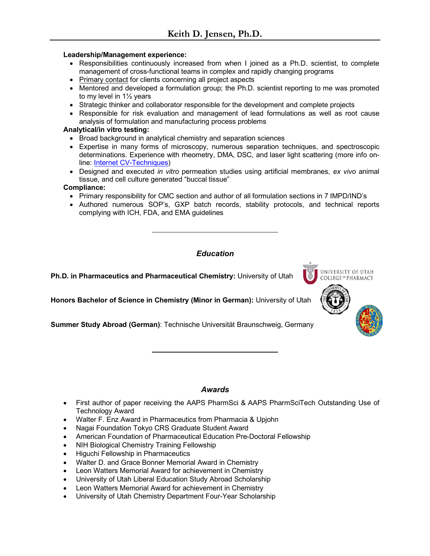#### **Leadership/Management experience:**

- Responsibilities continuously increased from when I joined as a Ph.D. scientist, to complete management of cross-functional teams in complex and rapidly changing programs
- Primary contact for clients concerning all project aspects
- Mentored and developed a formulation group; the Ph.D. scientist reporting to me was promoted to my level in 1½ years
- Strategic thinker and collaborator responsible for the development and complete projects
- Responsible for risk evaluation and management of lead formulations as well as root cause analysis of formulation and manufacturing process problems

#### **Analytical/in vitro testing:**

- Broad background in analytical chemistry and separation sciences
- Expertise in many forms of microscopy, numerous separation techniques, and spectroscopic determinations. Experience with rheometry, DMA, DSC, and laser light scattering (more info online: Internet CV-Techniques)
- Designed and executed *in vitro* permeation studies using artificial membranes, *ex vivo* animal tissue, and cell culture generated "buccal tissue"

#### **Compliance:**

- Primary responsibility for CMC section and author of all formulation sections in 7 IMPD/IND's
- Authored numerous SOP's, GXP batch records, stability protocols, and technical reports complying with ICH, FDA, and EMA guidelines

UNIVERSITY OF UTAH COLLEGE OF PHARMACY

# *Education*

**Ph.D. in Pharmaceutics and Pharmaceutical Chemistry:** University of Utah

**Honors Bachelor of Science in Chemistry (Minor in German):** University of Utah

**Summer Study Abroad (German)**: Technische Universität Braunschweig, Germany

## *Awards*

- First author of paper receiving the AAPS PharmSci & AAPS PharmSciTech Outstanding Use of Technology Award
- Walter F. Enz Award in Pharmaceutics from Pharmacia & Upjohn
- Nagai Foundation Tokyo CRS Graduate Student Award
- American Foundation of Pharmaceutical Education Pre-Doctoral Fellowship
- NIH Biological Chemistry Training Fellowship
- Higuchi Fellowship in Pharmaceutics
- Walter D. and Grace Bonner Memorial Award in Chemistry
- Leon Watters Memorial Award for achievement in Chemistry
- University of Utah Liberal Education Study Abroad Scholarship
- Leon Watters Memorial Award for achievement in Chemistry
- University of Utah Chemistry Department Four-Year Scholarship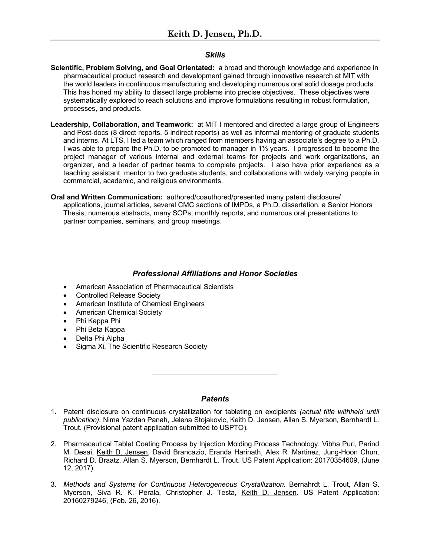#### *Skills*

- **Scientific, Problem Solving, and Goal Orientated:** a broad and thorough knowledge and experience in pharmaceutical product research and development gained through innovative research at MIT with the world leaders in continuous manufacturing and developing numerous oral solid dosage products. This has honed my ability to dissect large problems into precise objectives. These objectives were systematically explored to reach solutions and improve formulations resulting in robust formulation, processes, and products.
- **Leadership, Collaboration, and Teamwork:** at MIT I mentored and directed a large group of Engineers and Post-docs (8 direct reports, 5 indirect reports) as well as informal mentoring of graduate students and interns. At LTS, I led a team which ranged from members having an associate's degree to a Ph.D. I was able to prepare the Ph.D. to be promoted to manager in 1½ years. I progressed to become the project manager of various internal and external teams for projects and work organizations, an organizer, and a leader of partner teams to complete projects. I also have prior experience as a teaching assistant, mentor to two graduate students, and collaborations with widely varying people in commercial, academic, and religious environments.
- **Oral and Written Communication:** authored/coauthored/presented many patent disclosure/ applications, journal articles, several CMC sections of IMPDs, a Ph.D. dissertation, a Senior Honors Thesis, numerous abstracts, many SOPs, monthly reports, and numerous oral presentations to partner companies, seminars, and group meetings.

## *Professional Affiliations and Honor Societies*

- American Association of Pharmaceutical Scientists
- Controlled Release Society
- American Institute of Chemical Engineers
- American Chemical Society
- Phi Kappa Phi
- Phi Beta Kappa
- Delta Phi Alpha
- Sigma Xi, The Scientific Research Society

## *Patents*

- 1. Patent disclosure on continuous crystallization for tableting on excipients *(actual title withheld until publication).* Nima Yazdan Panah, Jelena Stojakovic, Keith D. Jensen, Allan S. Myerson, Bernhardt L. Trout. (Provisional patent application submitted to USPTO).
- 2. Pharmaceutical Tablet Coating Process by Injection Molding Process Technology. Vibha Puri, Parind M. Desai, Keith D. Jensen, David Brancazio, Eranda Harinath, Alex R. Martinez, Jung-Hoon Chun, Richard D. Braatz, Allan S. Myerson, Bernhardt L. Trout. US Patent Application: 20170354609, (June 12, 2017).
- 3. *Methods and Systems for Continuous Heterogeneous Crystallization.* Bernahrdt L. Trout, Allan S. Myerson, Siva R. K. Perala, Christopher J. Testa, Keith D. Jensen. US Patent Application: 20160279246, (Feb. 26, 2016).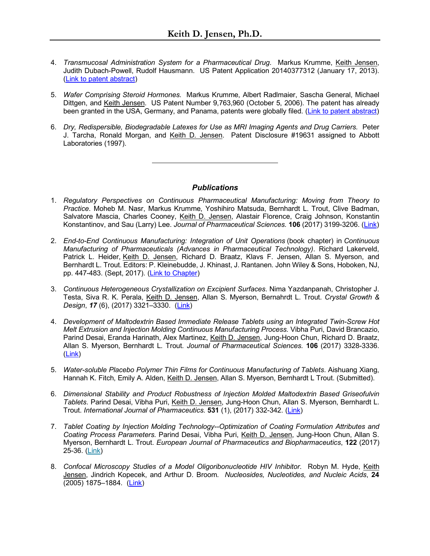- 4. *Transmucosal Administration System for a Pharmaceutical Drug*. Markus Krumme, Keith Jensen, Judith Dubach-Powell, Rudolf Hausmann. US Patent Application 20140377312 (January 17, 2013). (Link to patent abstract)
- 5. *Wafer Comprising Steroid Hormones.* Markus Krumme, Albert Radlmaier, Sascha General, Michael Dittgen, and Keith Jensen. US Patent Number 9,763,960 (October 5, 2006). The patent has already been granted in the USA, Germany, and Panama, patents were globally filed. (Link to patent abstract)
- 6. *Dry, Redispersible, Biodegradable Latexes for Use as MRI Imaging Agents and Drug Carriers.* Peter J. Tarcha, Ronald Morgan, and Keith D. Jensen. Patent Disclosure #19631 assigned to Abbott Laboratories (1997).

## *Publications*

- 1. *Regulatory Perspectives on Continuous Pharmaceutical Manufacturing: Moving from Theory to Practice*. Moheb M. Nasr, Markus Krumme, Yoshihiro Matsuda, Bernhardt L. Trout, Clive Badman, Salvatore Mascia, Charles Cooney, Keith D. Jensen, Alastair Florence, Craig Johnson, Konstantin Konstantinov, and Sau (Larry) Lee. *Journal of Pharmaceutical Sciences.* **106** (2017) 3199-3206. (Link)
- 2. *End-to-End Continuous Manufacturing: Integration of Unit Operations* (book chapter) in *Continuous Manufacturing of Pharmaceuticals (Advances in Pharmaceutical Technology)*. Richard Lakerveld, Patrick L. Heider, Keith D. Jensen, Richard D. Braatz, Klavs F. Jensen, Allan S. Myerson, and Bernhardt L. Trout. Editors: P. Kleinebudde, J. Khinast, J. Rantanen. John Wiley & Sons, Hoboken, NJ, pp. 447-483. (Sept, 2017). (Link to Chapter)
- 3. *Continuous Heterogeneous Crystallization on Excipient Surfaces*. Nima Yazdanpanah, Christopher J. Testa, Siva R. K. Perala, Keith D. Jensen, Allan S. Myerson, Bernahrdt L. Trout. *Crystal Growth & Design*, *17* (6), (2017) 3321–3330. (Link)
- 4. *Development of Maltodextrin Based Immediate Release Tablets using an Integrated Twin-Screw Hot Melt Extrusion and Injection Molding Continuous Manufacturing Process.* Vibha Puri, David Brancazio, Parind Desai, Eranda Harinath, Alex Martinez, Keith D. Jensen, Jung-Hoon Chun, Richard D. Braatz, Allan S. Myerson, Bernhardt L. Trout. *Journal of Pharmaceutical Sciences.* **106** (2017) 3328-3336. (Link)
- 5. *Water-soluble Placebo Polymer Thin Films for Continuous Manufacturing of Tablets*. Aishuang Xiang, Hannah K. Fitch, Emily A. Alden, Keith D. Jensen, Allan S. Myerson, Bernhardt L Trout. (Submitted).
- 6. *Dimensional Stability and Product Robustness of Injection Molded Maltodextrin Based Griseofulvin Tablets*. Parind Desai, Vibha Puri, Keith D. Jensen, Jung-Hoon Chun, Allan S. Myerson, Bernhardt L. Trout. *International Journal of Pharmaceutics.* **531** (1), (2017) 332-342. (Link)
- 7. *Tablet Coating by Injection Molding Technology--Optimization of Coating Formulation Attributes and Coating Process Parameters.* Parind Desai, Vibha Puri, Keith D. Jensen, Jung-Hoon Chun, Allan S. Myerson, Bernhardt L. Trout. *European Journal of Pharmaceutics and Biopharmaceutics*, **122** (2017) 25-36. (Link)
- 8. *Confocal Microscopy Studies of a Model Oligoribonucleotide HIV Inhibitor*. Robyn M. Hyde, Keith Jensen, Jindrich Kopecek, and Arthur D. Broom. *Nucleosides, Nucleotides, and Nucleic Acids*, **24** (2005) 1875–1884. (Link)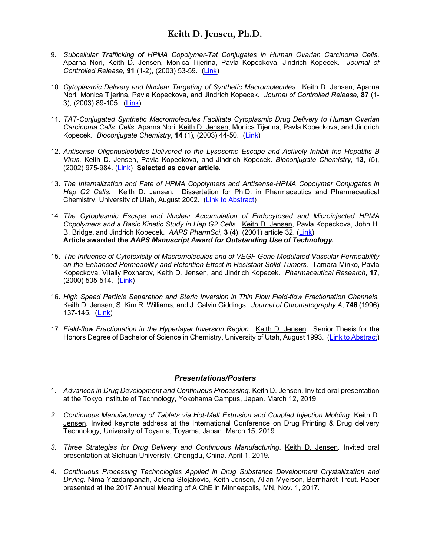- 9. *Subcellular Trafficking of HPMA Copolymer-Tat Conjugates in Human Ovarian Carcinoma Cells*. Aparna Nori, Keith D. Jensen, Monica Tijerina, Pavla Kopeckova, Jindrich Kopecek. *Journal of Controlled Release,* **91** (1-2), (2003) 53-59. (Link)
- 10. *Cytoplasmic Delivery and Nuclear Targeting of Synthetic Macromolecules*. Keith D. Jensen, Aparna Nori, Monica Tijerina, Pavla Kopeckova, and Jindrich Kopecek. *Journal of Controlled Release,* **87** (1- 3), (2003) 89-105. (Link)
- 11. *TAT-Conjugated Synthetic Macromolecules Facilitate Cytoplasmic Drug Delivery to Human Ovarian Carcinoma Cells*. *Cells.* Aparna Nori, Keith D. Jensen, Monica Tijerina, Pavla Kopeckova, and Jindrich Kopecek. *Bioconjugate Chemistry*, **14** (1), (2003) 44-50. (Link)
- 12. *Antisense Oligonucleotides Delivered to the Lysosome Escape and Actively Inhibit the Hepatitis B Virus.* Keith D. Jensen, Pavla Kopeckova, and Jindrich Kopecek. *Bioconjugate Chemistry,* **13**, (5), (2002) 975-984. (Link) **Selected as cover article.**
- 13. *The Internalization and Fate of HPMA Copolymers and Antisense-HPMA Copolymer Conjugates in Hep G2 Cells.* Keith D. Jensen. Dissertation for Ph.D. in Pharmaceutics and Pharmaceutical Chemistry, University of Utah, August 2002. (Link to Abstract)
- 14. *The Cytoplasmic Escape and Nuclear Accumulation of Endocytosed and Microinjected HPMA Copolymers and a Basic Kinetic Study in Hep G2 Cells.* Keith D. Jensen, Pavla Kopeckova, John H. B. Bridge, and Jindrich Kopecek. *AAPS PharmSci*, **3** (4), (2001) article 32. (Link) **Article awarded the** *AAPS Manuscript Award for Outstanding Use of Technology***.**
- 15. *The Influence of Cytotoxicity of Macromolecules and of VEGF Gene Modulated Vascular Permeability on the Enhanced Permeability and Retention Effect in Resistant Solid Tumors.* Tamara Minko, Pavla Kopeckova, Vitaliy Poxharov, Keith D. Jensen, and Jindrich Kopecek. *Pharmaceutical Research*, **17**, (2000) 505-514. (Link)
- 16. *High Speed Particle Separation and Steric Inversion in Thin Flow Field-flow Fractionation Channels.* Keith D. Jensen, S. Kim R. Williams, and J. Calvin Giddings. *Journal of Chromatography A*, **746** (1996) 137-145. (Link)
- 17. *Field-flow Fractionation in the Hyperlayer Inversion Region*. Keith D. Jensen. Senior Thesis for the Honors Degree of Bachelor of Science in Chemistry, University of Utah, August 1993. (Link to Abstract)

## *Presentations/Posters*

- 1. *Advances in Drug Development and Continuous Processing*. Keith D. Jensen. Invited oral presentation at the Tokyo Institute of Technology, Yokohama Campus, Japan. March 12, 2019.
- *2. Continuous Manufacturing of Tablets via Hot-Melt Extrusion and Coupled Injection Molding.* Keith D. Jensen. Invited keynote address at the International Conference on Drug Printing & Drug delivery Technology, University of Toyama, Toyama, Japan. March 15, 2019.
- *3. Three Strategies for Drug Delivery and Continuous Manufacturing*. Keith D. Jensen. Invited oral presentation at Sichuan Univeristy, Chengdu, China. April 1, 2019.
- 4. *Continuous Processing Technologies Applied in Drug Substance Development Crystallization and Drying*. Nima Yazdanpanah, Jelena Stojakovic, Keith Jensen, Allan Myerson, Bernhardt Trout. Paper presented at the 2017 Annual Meeting of AIChE in Minneapolis, MN, Nov. 1, 2017.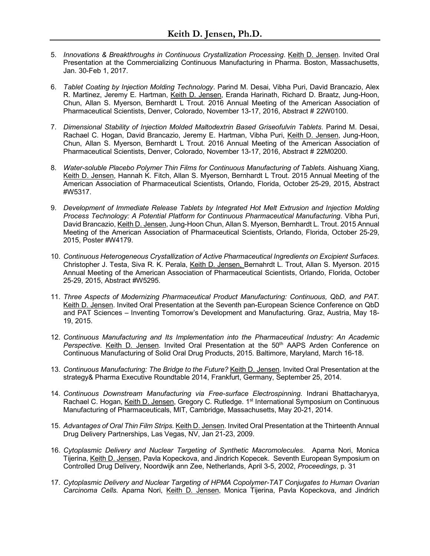- 5. *Innovations & Breakthroughs in Continuous Crystallization Processing*. Keith D. Jensen. Invited Oral Presentation at the Commercializing Continuous Manufacturing in Pharma. Boston, Massachusetts, Jan. 30-Feb 1, 2017.
- 6. *Tablet Coating by Injection Molding Technology*. Parind M. Desai, Vibha Puri, David Brancazio, Alex R. Martinez, Jeremy E. Hartman, Keith D. Jensen, Eranda Harinath, Richard D. Braatz, Jung-Hoon, Chun, Allan S. Myerson, Bernhardt L Trout. 2016 Annual Meeting of the American Association of Pharmaceutical Scientists, Denver, Colorado, November 13-17, 2016, Abstract # 22W0100.
- 7. *Dimensional Stability of Injection Molded Maltodextrin Based Griseofulvin Tablets*. Parind M. Desai, Rachael C. Hogan, David Brancazio, Jeremy E. Hartman, Vibha Puri, Keith D. Jensen, Jung-Hoon, Chun, Allan S. Myerson, Bernhardt L Trout. 2016 Annual Meeting of the American Association of Pharmaceutical Scientists, Denver, Colorado, November 13-17, 2016, Abstract # 22M0200.
- 8. *Water-soluble Placebo Polymer Thin Films for Continuous Manufacturing of Tablets*. Aishuang Xiang, Keith D. Jensen, Hannah K. Fitch, Allan S. Myerson, Bernhardt L Trout. 2015 Annual Meeting of the American Association of Pharmaceutical Scientists, Orlando, Florida, October 25-29, 2015, Abstract #W5317.
- 9. *Development of Immediate Release Tablets by Integrated Hot Melt Extrusion and Injection Molding Process Technology: A Potential Platform for Continuous Pharmaceutical Manufacturing*. Vibha Puri, David Brancazio, Keith D. Jensen, Jung-Hoon Chun, Allan S. Myerson, Bernhardt L. Trout. 2015 Annual Meeting of the American Association of Pharmaceutical Scientists, Orlando, Florida, October 25-29, 2015, Poster #W4179.
- 10. *Continuous Heterogeneous Crystallization of Active Pharmaceutical Ingredients on Excipient Surfaces*. Christopher J. Testa, Siva R. K. Perala, Keith D. Jensen, Bernahrdt L. Trout, Allan S. Myerson. 2015 Annual Meeting of the American Association of Pharmaceutical Scientists, Orlando, Florida, October 25-29, 2015, Abstract #W5295.
- 11. *Three Aspects of Modernizing Pharmaceutical Product Manufacturing: Continuous, QbD, and PAT.*  Keith D. Jensen. Invited Oral Presentation at the Seventh pan-European Science Conference on QbD and PAT Sciences – Inventing Tomorrow's Development and Manufacturing. Graz, Austria, May 18- 19, 2015.
- 12. *Continuous Manufacturing and Its Implementation into the Pharmaceutical Industry: An Academic*  Perspective. Keith D. Jensen. Invited Oral Presentation at the 50<sup>th</sup> AAPS Arden Conference on Continuous Manufacturing of Solid Oral Drug Products, 2015. Baltimore, Maryland, March 16-18.
- 13. *Continuous Manufacturing: The Bridge to the Future?* Keith D. Jensen. Invited Oral Presentation at the strategy& Pharma Executive Roundtable 2014, Frankfurt, Germany, September 25, 2014.
- 14. *Continuous Downstream Manufacturing via Free-surface Electrospinning*. Indrani Bhattacharyya, Rachael C. Hogan, Keith D. Jensen, Gregory C. Rutledge. 1<sup>st</sup> International Symposium on Continuous Manufacturing of Pharmaceuticals, MIT, Cambridge, Massachusetts, May 20-21, 2014.
- 15. *Advantages of Oral Thin Film Strips*. Keith D. Jensen. Invited Oral Presentation at the Thirteenth Annual Drug Delivery Partnerships, Las Vegas, NV, Jan 21-23, 2009.
- 16. *Cytoplasmic Delivery and Nuclear Targeting of Synthetic Macromolecules*. Aparna Nori, Monica Tijerina, Keith D. Jensen, Pavla Kopeckova, and Jindrich Kopecek. Seventh European Symposium on Controlled Drug Delivery, Noordwijk ann Zee, Netherlands, April 3-5, 2002, *Proceedings*, p. 31
- 17. *Cytoplasmic Delivery and Nuclear Targeting of HPMA Copolymer-TAT Conjugates to Human Ovarian Carcinoma Cells.* Aparna Nori, Keith D. Jensen, Monica Tijerina, Pavla Kopeckova, and Jindrich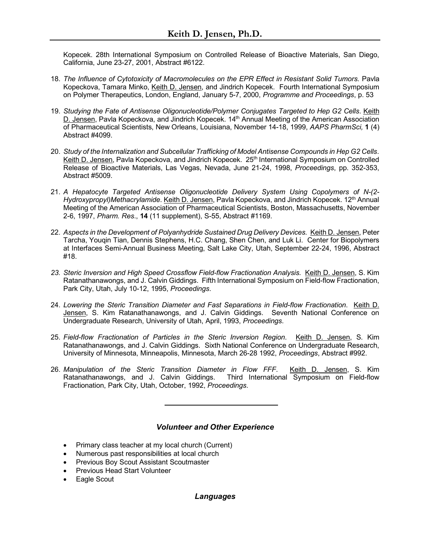Kopecek. 28th International Symposium on Controlled Release of Bioactive Materials, San Diego, California, June 23-27, 2001, Abstract #6122.

- 18. *The Influence of Cytotoxicity of Macromolecules on the EPR Effect in Resistant Solid Tumors.* Pavla Kopeckova, Tamara Minko, Keith D. Jensen, and Jindrich Kopecek. Fourth International Symposium on Polymer Therapeutics, London, England, January 5-7, 2000, *Programme and Proceedings*, p. 53
- 19. *Studying the Fate of Antisense Oligonucleotide/Polymer Conjugates Targeted to Hep G2 Cells*. Keith D. Jensen, Pavla Kopeckova, and Jindrich Kopecek. 14<sup>th</sup> Annual Meeting of the American Association of Pharmaceutical Scientists, New Orleans, Louisiana, November 14-18, 1999, *AAPS PharmSci,* **1** (4) Abstract #4099.
- 20. *Study of the Internalization and Subcellular Trafficking of Model Antisense Compounds in Hep G2 Cells*. Keith D. Jensen, Pavla Kopeckova, and Jindrich Kopecek. 25<sup>th</sup> International Symposium on Controlled Release of Bioactive Materials, Las Vegas, Nevada, June 21-24, 1998, *Proceedings*, pp. 352-353, Abstract #5009.
- 21. *A Hepatocyte Targeted Antisense Oligonucleotide Delivery System Using Copolymers of N-(2- Hydroxypropyl)Methacrylamide*. Keith D. Jensen, Pavla Kopeckova, and Jindrich Kopecek. 12th Annual Meeting of the American Association of Pharmaceutical Scientists, Boston, Massachusetts, November 2-6, 1997, *Pharm. Res*., **14** (11 supplement), S-55, Abstract #1169.
- 22. *Aspects in the Development of Polyanhydride Sustained Drug Delivery Devices.* Keith D. Jensen, Peter Tarcha, Youqin Tian, Dennis Stephens, H.C. Chang, Shen Chen, and Luk Li. Center for Biopolymers at Interfaces Semi-Annual Business Meeting, Salt Lake City, Utah, September 22-24, 1996, Abstract #18.
- *23. Steric Inversion and High Speed Crossflow Field-flow Fractionation Analysis.* Keith D. Jensen, S. Kim Ratanathanawongs, and J. Calvin Giddings. Fifth International Symposium on Field-flow Fractionation, Park City, Utah, July 10-12, 1995, *Proceedings*.
- 24. *Lowering the Steric Transition Diameter and Fast Separations in Field-flow Fractionation*. Keith D. Jensen, S. Kim Ratanathanawongs, and J. Calvin Giddings. Seventh National Conference on Undergraduate Research, University of Utah, April, 1993, *Proceedings*.
- 25. *Field-flow Fractionation of Particles in the Steric Inversion Region*. Keith D. Jensen, S. Kim Ratanathanawongs, and J. Calvin Giddings. Sixth National Conference on Undergraduate Research, University of Minnesota, Minneapolis, Minnesota, March 26-28 1992, *Proceedings*, Abstract #992.
- 26. Manipulation of the Steric Transition Diameter in Flow FFF. Keith D. Jensen, S. Kim Ratanathanawongs, and J. Calvin Giddings. Third International Symposium on Field-flow Fractionation, Park City, Utah, October, 1992, *Proceedings*.

# *Volunteer and Other Experience*

- Primary class teacher at my local church (Current)
- Numerous past responsibilities at local church
- Previous Boy Scout Assistant Scoutmaster
- Previous Head Start Volunteer
- Eagle Scout

# *Languages*